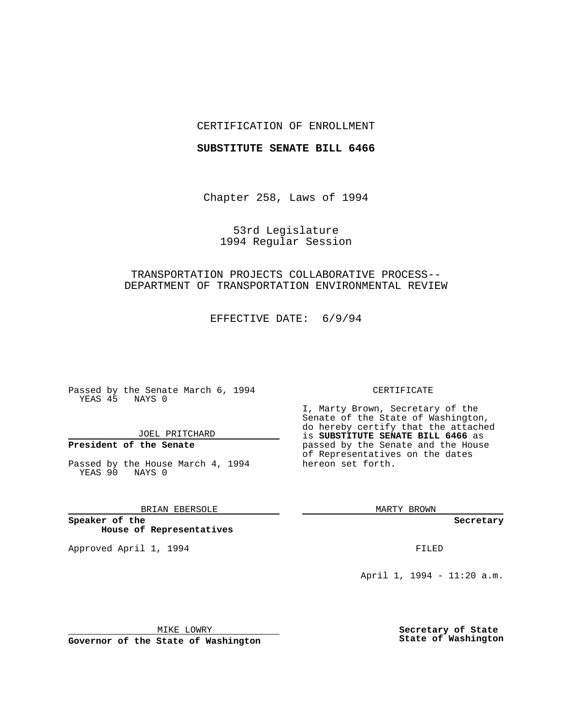### CERTIFICATION OF ENROLLMENT

### **SUBSTITUTE SENATE BILL 6466**

Chapter 258, Laws of 1994

53rd Legislature 1994 Regular Session

## TRANSPORTATION PROJECTS COLLABORATIVE PROCESS-- DEPARTMENT OF TRANSPORTATION ENVIRONMENTAL REVIEW

EFFECTIVE DATE: 6/9/94

Passed by the Senate March 6, 1994 YEAS 45 NAYS 0

JOEL PRITCHARD

# **President of the Senate**

Passed by the House March 4, 1994 YEAS 90 NAYS 0

BRIAN EBERSOLE

**Speaker of the House of Representatives**

Approved April 1, 1994 **FILED** 

#### CERTIFICATE

I, Marty Brown, Secretary of the Senate of the State of Washington, do hereby certify that the attached is **SUBSTITUTE SENATE BILL 6466** as passed by the Senate and the House of Representatives on the dates hereon set forth.

MARTY BROWN

**Secretary**

April 1, 1994 - 11:20 a.m.

MIKE LOWRY

**Governor of the State of Washington**

**Secretary of State State of Washington**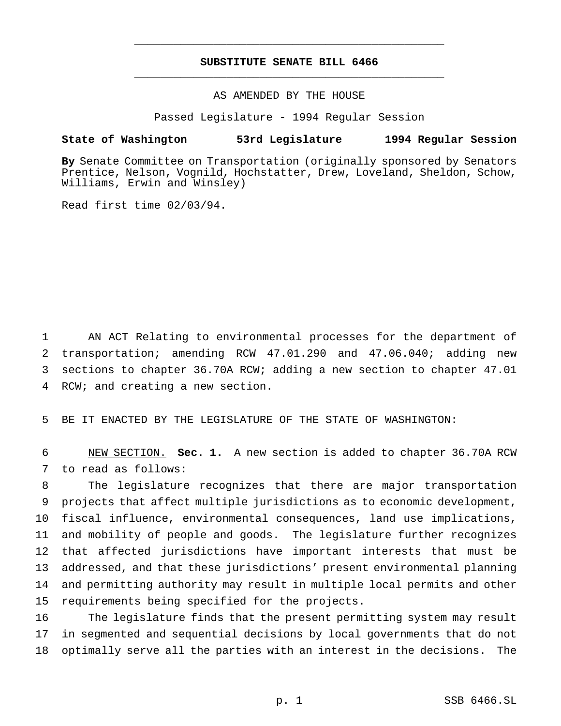## **SUBSTITUTE SENATE BILL 6466** \_\_\_\_\_\_\_\_\_\_\_\_\_\_\_\_\_\_\_\_\_\_\_\_\_\_\_\_\_\_\_\_\_\_\_\_\_\_\_\_\_\_\_\_\_\_\_

\_\_\_\_\_\_\_\_\_\_\_\_\_\_\_\_\_\_\_\_\_\_\_\_\_\_\_\_\_\_\_\_\_\_\_\_\_\_\_\_\_\_\_\_\_\_\_

### AS AMENDED BY THE HOUSE

Passed Legislature - 1994 Regular Session

# **State of Washington 53rd Legislature 1994 Regular Session**

**By** Senate Committee on Transportation (originally sponsored by Senators Prentice, Nelson, Vognild, Hochstatter, Drew, Loveland, Sheldon, Schow, Williams, Erwin and Winsley)

Read first time 02/03/94.

 AN ACT Relating to environmental processes for the department of transportation; amending RCW 47.01.290 and 47.06.040; adding new sections to chapter 36.70A RCW; adding a new section to chapter 47.01 RCW; and creating a new section.

BE IT ENACTED BY THE LEGISLATURE OF THE STATE OF WASHINGTON:

 NEW SECTION. **Sec. 1.** A new section is added to chapter 36.70A RCW to read as follows:

 The legislature recognizes that there are major transportation projects that affect multiple jurisdictions as to economic development, fiscal influence, environmental consequences, land use implications, and mobility of people and goods. The legislature further recognizes that affected jurisdictions have important interests that must be addressed, and that these jurisdictions' present environmental planning and permitting authority may result in multiple local permits and other requirements being specified for the projects.

 The legislature finds that the present permitting system may result in segmented and sequential decisions by local governments that do not optimally serve all the parties with an interest in the decisions. The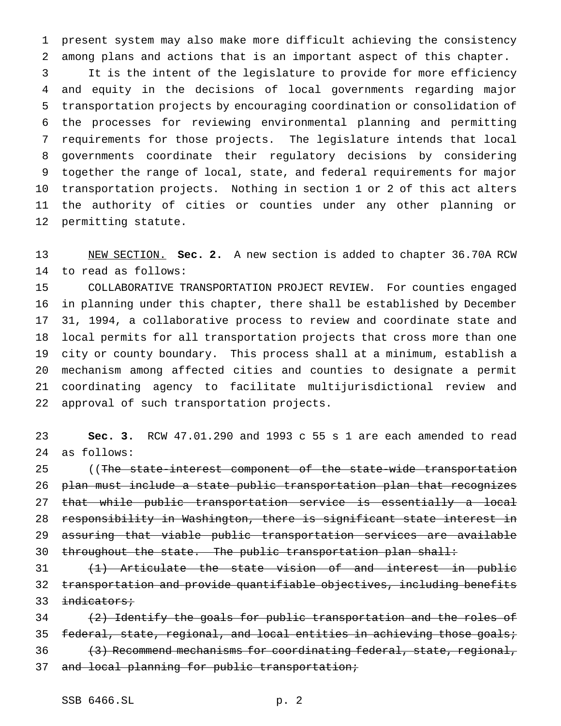present system may also make more difficult achieving the consistency among plans and actions that is an important aspect of this chapter.

 It is the intent of the legislature to provide for more efficiency and equity in the decisions of local governments regarding major transportation projects by encouraging coordination or consolidation of the processes for reviewing environmental planning and permitting requirements for those projects. The legislature intends that local governments coordinate their regulatory decisions by considering together the range of local, state, and federal requirements for major transportation projects. Nothing in section 1 or 2 of this act alters the authority of cities or counties under any other planning or permitting statute.

 NEW SECTION. **Sec. 2.** A new section is added to chapter 36.70A RCW to read as follows:

 COLLABORATIVE TRANSPORTATION PROJECT REVIEW. For counties engaged in planning under this chapter, there shall be established by December 31, 1994, a collaborative process to review and coordinate state and local permits for all transportation projects that cross more than one city or county boundary. This process shall at a minimum, establish a mechanism among affected cities and counties to designate a permit coordinating agency to facilitate multijurisdictional review and approval of such transportation projects.

 **Sec. 3.** RCW 47.01.290 and 1993 c 55 s 1 are each amended to read as follows:

25 ((The state-interest component of the state-wide transportation plan must include a state public transportation plan that recognizes that while public transportation service is essentially a local responsibility in Washington, there is significant state interest in assuring that viable public transportation services are available 30 throughout the state. The public transportation plan shall:

 (1) Articulate the state vision of and interest in public transportation and provide quantifiable objectives, including benefits 33 indicators;

 $(2)$  Identify the goals for public transportation and the roles of 35 federal, state, regional, and local entities in achieving those goals; 36 (3) Recommend mechanisms for coordinating federal, state, regional, 37 and local planning for public transportation;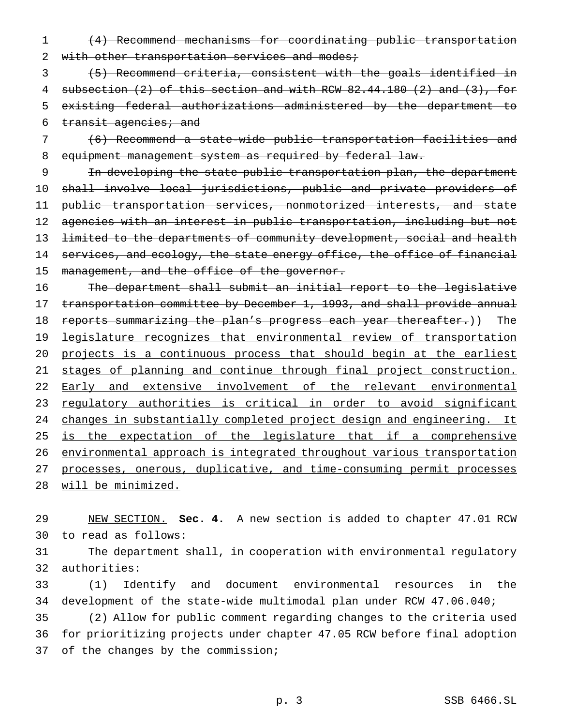1 (4) Recommend mechanisms for coordinating public transportation 2 with other transportation services and modes;

 (5) Recommend criteria, consistent with the goals identified in subsection (2) of this section and with RCW 82.44.180 (2) and (3), for existing federal authorizations administered by the department to 6 transit agencies; and

7 (6) Recommend a state-wide public transportation facilities and 8 equipment management system as required by federal law.

9 In developing the state public transportation plan, the department 10 shall involve local jurisdictions, public and private providers of 11 public transportation services, nonmotorized interests, and state 12 agencies with an interest in public transportation, including but not 13 <del>limited to the departments of community development, social and health</del> 14 services, and ecology, the state energy office, the office of financial 15 management, and the office of the governor.

16 The department shall submit an initial report to the legislative 17 transportation committee by December 1, 1993, and shall provide annual 18 reports summarizing the plan's progress each year thereafter.)) The 19 legislature recognizes that environmental review of transportation 20 projects is a continuous process that should begin at the earliest 21 stages of planning and continue through final project construction. 22 Early and extensive involvement of the relevant environmental 23 regulatory authorities is critical in order to avoid significant 24 changes in substantially completed project design and engineering. It 25 is the expectation of the legislature that if a comprehensive 26 environmental approach is integrated throughout various transportation 27 processes, onerous, duplicative, and time-consuming permit processes 28 will be minimized.

29 NEW SECTION. **Sec. 4.** A new section is added to chapter 47.01 RCW 30 to read as follows:

31 The department shall, in cooperation with environmental regulatory 32 authorities:

33 (1) Identify and document environmental resources in the 34 development of the state-wide multimodal plan under RCW 47.06.040;

35 (2) Allow for public comment regarding changes to the criteria used 36 for prioritizing projects under chapter 47.05 RCW before final adoption 37 of the changes by the commission;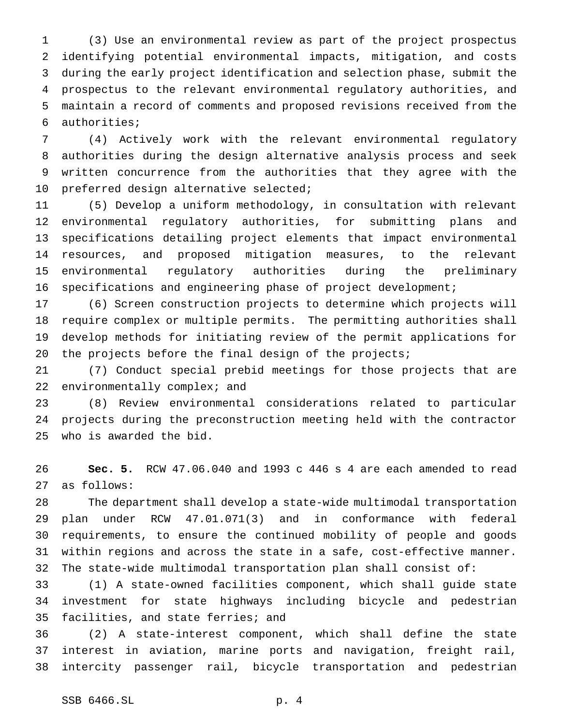(3) Use an environmental review as part of the project prospectus identifying potential environmental impacts, mitigation, and costs during the early project identification and selection phase, submit the prospectus to the relevant environmental regulatory authorities, and maintain a record of comments and proposed revisions received from the authorities;

 (4) Actively work with the relevant environmental regulatory authorities during the design alternative analysis process and seek written concurrence from the authorities that they agree with the preferred design alternative selected;

 (5) Develop a uniform methodology, in consultation with relevant environmental regulatory authorities, for submitting plans and specifications detailing project elements that impact environmental resources, and proposed mitigation measures, to the relevant environmental regulatory authorities during the preliminary specifications and engineering phase of project development;

 (6) Screen construction projects to determine which projects will require complex or multiple permits. The permitting authorities shall develop methods for initiating review of the permit applications for 20 the projects before the final design of the projects;

 (7) Conduct special prebid meetings for those projects that are 22 environmentally complex; and

 (8) Review environmental considerations related to particular projects during the preconstruction meeting held with the contractor who is awarded the bid.

 **Sec. 5.** RCW 47.06.040 and 1993 c 446 s 4 are each amended to read as follows:

 The department shall develop a state-wide multimodal transportation plan under RCW 47.01.071(3) and in conformance with federal requirements, to ensure the continued mobility of people and goods within regions and across the state in a safe, cost-effective manner. The state-wide multimodal transportation plan shall consist of:

 (1) A state-owned facilities component, which shall guide state investment for state highways including bicycle and pedestrian facilities, and state ferries; and

 (2) A state-interest component, which shall define the state interest in aviation, marine ports and navigation, freight rail, intercity passenger rail, bicycle transportation and pedestrian